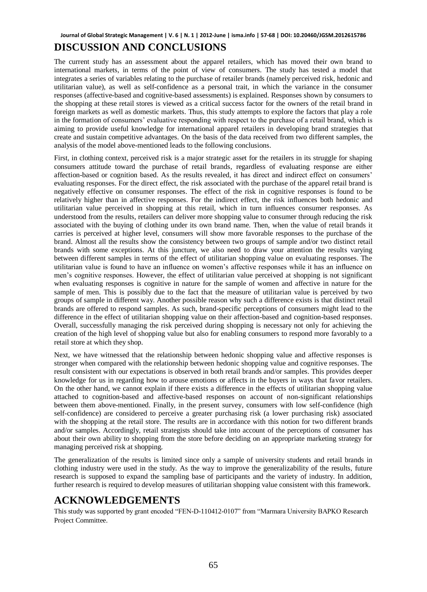#### **Journal of Global Strategic Management | V. 6 | N. 1 | 2012-June | isma.info | 57-68 | DOI: 10.20460/JGSM.2012615786**

## **DISCUSSION AND CONCLUSIONS**

The current study has an assessment about the apparel retailers, which has moved their own brand to international markets, in terms of the point of view of consumers. The study has tested a model that integrates a series of variables relating to the purchase of retailer brands (namely perceived risk, hedonic and utilitarian value), as well as self-confidence as a personal trait, in which the variance in the consumer responses (affective-based and cognitive-based assessments) is explained. Responses shown by consumers to the shopping at these retail stores is viewed as a critical success factor for the owners of the retail brand in foreign markets as well as domestic markets. Thus, this study attempts to explore the factors that play a role in the formation of consumers' evaluative responding with respect to the purchase of a retail brand, which is aiming to provide useful knowledge for international apparel retailers in developing brand strategies that create and sustain competitive advantages. On the basis of the data received from two different samples, the analysis of the model above-mentioned leads to the following conclusions.

First, in clothing context, perceived risk is a major strategic asset for the retailers in its struggle for shaping consumers attitude toward the purchase of retail brands, regardless of evaluating response are either affection-based or cognition based. As the results revealed, it has direct and indirect effect on consumers' evaluating responses. For the direct effect, the risk associated with the purchase of the apparel retail brand is negatively effective on consumer responses. The effect of the risk in cognitive responses is found to be relatively higher than in affective responses. For the indirect effect, the risk influences both hedonic and utilitarian value perceived in shopping at this retail, which in turn influences consumer responses. As understood from the results, retailers can deliver more shopping value to consumer through reducing the risk associated with the buying of clothing under its own brand name. Then, when the value of retail brands it carries is perceived at higher level, consumers will show more favorable responses to the purchase of the brand. Almost all the results show the consistency between two groups of sample and/or two distinct retail brands with some exceptions. At this juncture, we also need to draw your attention the results varying between different samples in terms of the effect of utilitarian shopping value on evaluating responses. The utilitarian value is found to have an influence on women's affective responses while it has an influence on men's cognitive responses. However, the effect of utilitarian value perceived at shopping is not significant when evaluating responses is cognitive in nature for the sample of women and affective in nature for the sample of men. This is possibly due to the fact that the measure of utilitarian value is perceived by two groups of sample in different way. Another possible reason why such a difference exists is that distinct retail brands are offered to respond samples. As such, brand-specific perceptions of consumers might lead to the difference in the effect of utilitarian shopping value on their affection-based and cognition-based responses. Overall, successfully managing the risk perceived during shopping is necessary not only for achieving the creation of the high level of shopping value but also for enabling consumers to respond more favorably to a retail store at which they shop.

Next, we have witnessed that the relationship between hedonic shopping value and affective responses is stronger when compared with the relationship between hedonic shopping value and cognitive responses. The result consistent with our expectations is observed in both retail brands and/or samples. This provides deeper knowledge for us in regarding how to arouse emotions or affects in the buyers in ways that favor retailers. On the other hand, we cannot explain if there exists a difference in the effects of utilitarian shopping value attached to cognition-based and affective-based responses on account of non-significant relationships between them above-mentioned. Finally, in the present survey, consumers with low self-confidence (high self-confidence) are considered to perceive a greater purchasing risk (a lower purchasing risk) associated with the shopping at the retail store. The results are in accordance with this notion for two different brands and/or samples. Accordingly, retail strategists should take into account of the perceptions of consumer has about their own ability to shopping from the store before deciding on an appropriate marketing strategy for managing perceived risk at shopping.

The generalization of the results is limited since only a sample of university students and retail brands in clothing industry were used in the study. As the way to improve the generalizability of the results, future research is supposed to expand the sampling base of participants and the variety of industry. In addition, further research is required to develop measures of utilitarian shopping value consistent with this framework.

### **ACKNOWLEDGEMENTS**

This study was supported by grant encoded "FEN-D-110412-0107" from "Marmara University BAPKO Research Project Committee.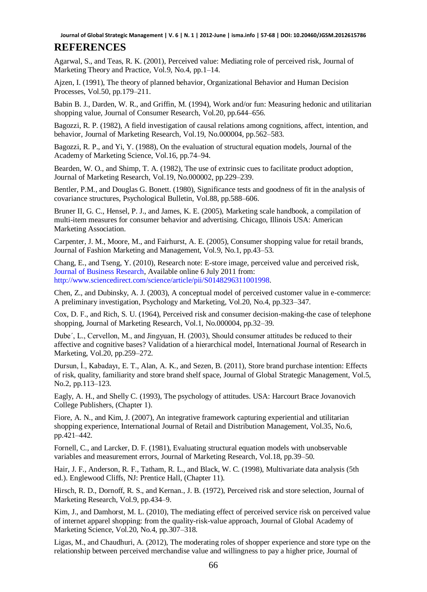**Journal of Global Strategic Management | V. 6 | N. 1 | 2012-June | isma.info | 57-68 | DOI: 10.20460/JGSM.2012615786**

# **REFERENCES**

Agarwal, S., and Teas, R. K. (2001), Perceived value: Mediating role of perceived risk, Journal of Marketing Theory and Practice, Vol.9, No.4, pp.1–14.

Ajzen, I. (1991), The theory of planned behavior, Organizational Behavior and Human Decision Processes, Vol.50, pp.179–211.

Babin B. J., Darden, W. R., and Griffin, M. (1994), Work and/or fun: Measuring hedonic and utilitarian shopping value, Journal of Consumer Research, Vol.20, pp.644–656.

Bagozzi, R. P. (1982), A field investigation of causal relations among cognitions, affect, intention, and behavior, Journal of Marketing Research, Vol.19, No.000004, pp.562–583.

Bagozzi, R. P., and Yi, Y. (1988), On the evaluation of structural equation models, Journal of the Academy of Marketing Science, Vol.16, pp.74–94.

Bearden, W. O., and Shimp, T. A. (1982), The use of extrinsic cues to facilitate product adoption, Journal of Marketing Research, Vol.19, No.000002, pp.229–239.

Bentler, P.M., and Douglas G. Bonett. (1980), Significance tests and goodness of fit in the analysis of covariance structures, Psychological Bulletin, Vol.88, pp.588–606.

Bruner II, G. C., Hensel, P. J., and James, K. E. (2005), Marketing scale handbook, a compilation of multi-item measures for consumer behavior and advertising. Chicago, Illinois USA: American Marketing Association.

Carpenter, J. M., Moore, M., and Fairhurst, A. E. (2005), Consumer shopping value for retail brands, Journal of Fashion Marketing and Management, Vol.9, No.1, pp.43–53.

Chang, E., and Tseng, Y. (2010), Research note: E-store image, perceived value and perceived risk, [Journal of Business Research,](http://www.sciencedirect.com/science/journal/01482963) Available online 6 July 2011 from: [http://www.sciencedirect.com/science/article/pii/S0148296311001998.](http://www.sciencedirect.com/science/article/pii/S0148296311001998) 

Chen, Z., and Dubinsky, A. J. (2003), A conceptual model of perceived customer value in e-commerce: A preliminary investigation, Psychology and Marketing, Vol.20, No.4, pp.323–347.

Cox, D. F., and Rich, S. U. (1964), Perceived risk and consumer decision-making-the case of telephone shopping, Journal of Marketing Research, Vol.1, No.000004, pp.32–39.

Dube´, L., Cervellon, M., and Jingyuan, H. (2003), Should consumer attitudes be reduced to their affective and cognitive bases? Validation of a hierarchical model, International Journal of Research in Marketing, Vol.20, pp.259–272.

Dursun, İ., Kabadayı, E. T., Alan, A. K., and Sezen, B. (2011), Store brand purchase intention: Effects of risk, quality, familiarity and store brand shelf space, Journal of Global Strategic Management, Vol.5, No.2, pp.113–123.

Eagly, A. H., and Shelly C. (1993), The psychology of attitudes. USA: Harcourt Brace Jovanovich College Publishers, (Chapter 1).

Fiore, A. N., and Kim, J. (2007), An integrative framework capturing experiential and utilitarian shopping experience, International Journal of Retail and Distribution Management, Vol.35, No.6, pp.421–442.

Fornell, C., and Larcker, D. F. (1981), Evaluating structural equation models with unobservable variables and measurement errors, Journal of Marketing Research, Vol.18, pp.39–50.

Hair, J. F., Anderson, R. F., Tatham, R. L., and Black, W. C. (1998), Multivariate data analysis (5th ed.). Englewood Cliffs, NJ: Prentice Hall, (Chapter 11).

Hirsch, R. D., Dornoff, R. S., and Kernan., J. B. (1972), Perceived risk and store selection, Journal of Marketing Research, Vol.9, pp.434–9.

Kim, J., and Damhorst, M. L. (2010), The mediating effect of perceived service risk on perceived value of internet apparel shopping: from the quality-risk-value approach, Journal of Global Academy of Marketing Science, Vol.20, No.4, pp.307–318.

Ligas, M., and Chaudhuri, A. (2012), The moderating roles of shopper experience and store type on the relationship between perceived merchandise value and willingness to pay a higher price, Journal of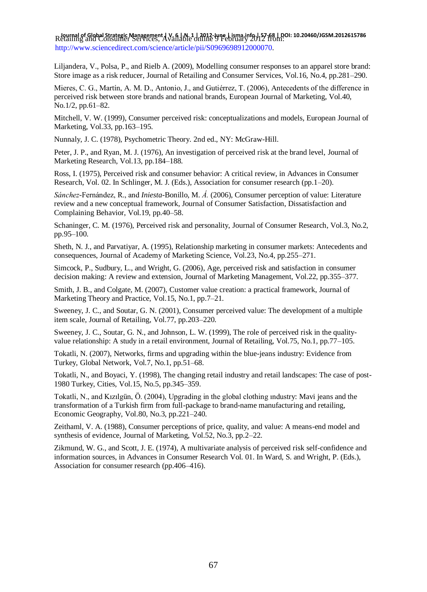Retailing and Consumer Services, Available online 9 February 2012 from: **Journal of Global Strategic Management | V. 6 | N. 1 | 2012-June | isma.info | 57-68 | DOI: 10.20460/JGSM.2012615786**<http://www.sciencedirect.com/science/article/pii/S0969698912000070>.

Liljandera, V., Polsa, P., and Rielb A. (2009), Modelling consumer responses to an apparel store brand: Store image as a risk reducer, Journal of Retailing and Consumer Services, Vol.16, No.4, pp.281–290.

Mieres, C. G., Martín, A. M. D., Antonio, J., and Gutiérrez, T. (2006), Antecedents of the difference in perceived risk between store brands and national brands, European Journal of Marketing, Vol.40, No.1/2, pp.61–82.

Mitchell, V. W. (1999), Consumer perceived risk: conceptualizations and models, European Journal of Marketing, Vol.33, pp.163–195.

Nunnaly, J. C. (1978), Psychometric Theory. 2nd ed., NY: McGraw-Hill.

Peter, J. P., and Ryan, M. J. (1976), An investigation of perceived risk at the brand level, Journal of Marketing Research, Vol.13, pp.184–188.

Ross, I. (1975), Perceived risk and consumer behavior: A critical review, in Advances in Consumer Research, Vol. 02. In Schlinger, M. J. (Eds.), Association for consumer research (pp.1–20).

*Sánchez*-Fernández, R., and *Iniesta*-Bonillo, M. *Á.* (2006), Consumer perception of value: Literature review and a new conceptual framework, Journal of Consumer Satisfaction, Dissatisfaction and Complaining Behavior, Vol.19, pp.40–58.

Schaninger, C. M. (1976), Perceived risk and personality, Journal of Consumer Research, Vol.3, No.2, pp.95–100.

Sheth, N. J., and Parvatiyar, A. (1995), Relationship marketing in consumer markets: Antecedents and consequences, Journal of Academy of Marketing Science, Vol.23, No.4, pp.255–271.

Simcock, P., Sudbury, L., and Wright, G. (2006), Age, perceived risk and satisfaction in consumer decision making: A review and extension, Journal of Marketing Management, Vol.22, pp.355–377.

Smith, J. B., and Colgate, M. (2007), Customer value creation: a practical framework, Journal of Marketing Theory and Practice, Vol.15, No.1, pp.7–21.

Sweeney, J. C., and Soutar, G. N. (2001), Consumer perceived value: The development of a multiple item scale, Journal of Retailing, Vol.77, pp.203–220.

Sweeney, J. C., Soutar, G. N., and Johnson, L. W. (1999), The role of perceived risk in the qualityvalue relationship: A study in a retail environment, Journal of Retailing, Vol.75, No.1, pp.77–105.

Tokatli, N. (2007), Networks, firms and upgrading within the blue-jeans industry: Evidence from Turkey, Global Network, Vol.7, No.1, pp.51–68.

Tokatli, N., and Boyaci, Y. (1998), The changing retail industry and retail landscapes: The case of post-1980 Turkey, Cities, Vol.15, No.5, pp.345–359.

Tokatli, N., and Kızılgün, Ö. (2004), Upgrading in the global clothing ındustry: Mavi jeans and the transformation of a Turkish firm from full-package to brand-name manufacturing and retailing, Economic Geography, Vol.80, No.3, pp.221–240.

Zeithaml, V. A. (1988), Consumer perceptions of price, quality, and value: A means-end model and synthesis of evidence, Journal of Marketing, Vol.52, No.3, pp.2–22.

Zikmund, W. G., and Scott, J. E. (1974), A multivariate analysis of perceived risk self-confidence and information sources, in Advances in Consumer Research Vol. 01. In Ward, S. and Wright, P. (Eds.), Association for consumer research (pp.406–416).